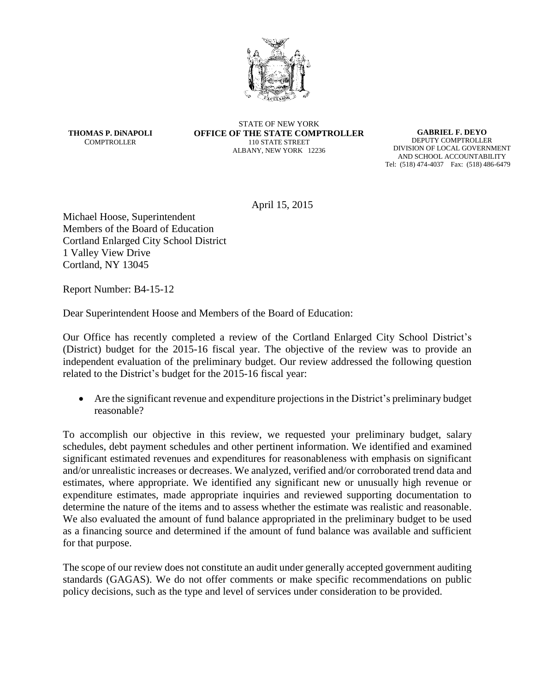

**THOMAS P. DiNAPOLI COMPTROLLER** 

STATE OF NEW YORK **OFFICE OF THE STATE COMPTROLLER** 110 STATE STREET ALBANY, NEW YORK 12236

**GABRIEL F. DEYO** DEPUTY COMPTROLLER DIVISION OF LOCAL GOVERNMENT AND SCHOOL ACCOUNTABILITY Tel: (518) 474-4037 Fax: (518) 486-6479

April 15, 2015

Michael Hoose, Superintendent Members of the Board of Education Cortland Enlarged City School District 1 Valley View Drive Cortland, NY 13045

Report Number: B4-15-12

Dear Superintendent Hoose and Members of the Board of Education:

Our Office has recently completed a review of the Cortland Enlarged City School District's (District) budget for the 2015-16 fiscal year. The objective of the review was to provide an independent evaluation of the preliminary budget. Our review addressed the following question related to the District's budget for the 2015-16 fiscal year:

 Are the significant revenue and expenditure projections in the District's preliminary budget reasonable?

To accomplish our objective in this review, we requested your preliminary budget, salary schedules, debt payment schedules and other pertinent information. We identified and examined significant estimated revenues and expenditures for reasonableness with emphasis on significant and/or unrealistic increases or decreases. We analyzed, verified and/or corroborated trend data and estimates, where appropriate. We identified any significant new or unusually high revenue or expenditure estimates, made appropriate inquiries and reviewed supporting documentation to determine the nature of the items and to assess whether the estimate was realistic and reasonable. We also evaluated the amount of fund balance appropriated in the preliminary budget to be used as a financing source and determined if the amount of fund balance was available and sufficient for that purpose.

The scope of our review does not constitute an audit under generally accepted government auditing standards (GAGAS). We do not offer comments or make specific recommendations on public policy decisions, such as the type and level of services under consideration to be provided.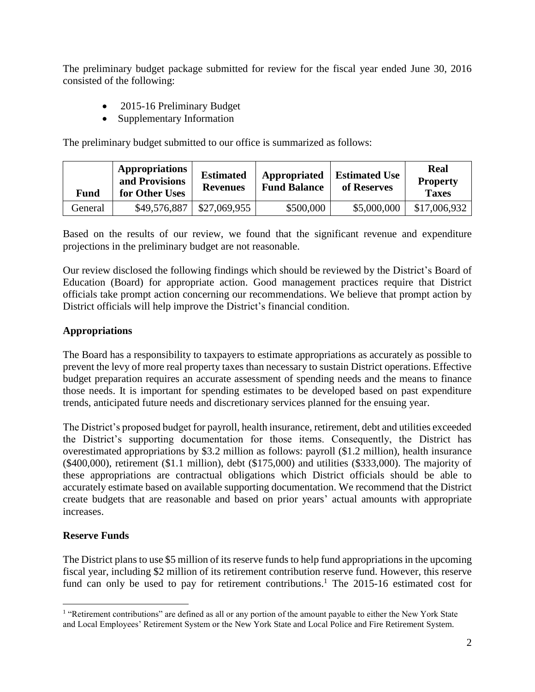The preliminary budget package submitted for review for the fiscal year ended June 30, 2016 consisted of the following:

- 2015-16 Preliminary Budget
- Supplementary Information

The preliminary budget submitted to our office is summarized as follows:

| Fund    | <b>Appropriations</b><br>and Provisions<br>for Other Uses | <b>Estimated</b><br><b>Revenues</b> | Appropriated<br><b>Fund Balance</b> | <b>Estimated Use</b><br>of Reserves | <b>Real</b><br><b>Property</b><br><b>Taxes</b> |
|---------|-----------------------------------------------------------|-------------------------------------|-------------------------------------|-------------------------------------|------------------------------------------------|
| General | \$49,576,887                                              | \$27,069,955                        | \$500,000                           | \$5,000,000                         | \$17,006,932                                   |

Based on the results of our review, we found that the significant revenue and expenditure projections in the preliminary budget are not reasonable.

Our review disclosed the following findings which should be reviewed by the District's Board of Education (Board) for appropriate action. Good management practices require that District officials take prompt action concerning our recommendations. We believe that prompt action by District officials will help improve the District's financial condition.

## **Appropriations**

The Board has a responsibility to taxpayers to estimate appropriations as accurately as possible to prevent the levy of more real property taxes than necessary to sustain District operations. Effective budget preparation requires an accurate assessment of spending needs and the means to finance those needs. It is important for spending estimates to be developed based on past expenditure trends, anticipated future needs and discretionary services planned for the ensuing year.

The District's proposed budget for payroll, health insurance, retirement, debt and utilities exceeded the District's supporting documentation for those items. Consequently, the District has overestimated appropriations by \$3.2 million as follows: payroll (\$1.2 million), health insurance (\$400,000), retirement (\$1.1 million), debt (\$175,000) and utilities (\$333,000). The majority of these appropriations are contractual obligations which District officials should be able to accurately estimate based on available supporting documentation. We recommend that the District create budgets that are reasonable and based on prior years' actual amounts with appropriate increases.

## **Reserve Funds**

 $\overline{a}$ 

The District plans to use \$5 million of its reserve funds to help fund appropriations in the upcoming fiscal year, including \$2 million of its retirement contribution reserve fund. However, this reserve fund can only be used to pay for retirement contributions.<sup>1</sup> The 2015-16 estimated cost for

<sup>&</sup>lt;sup>1</sup> "Retirement contributions" are defined as all or any portion of the amount payable to either the New York State and Local Employees' Retirement System or the New York State and Local Police and Fire Retirement System.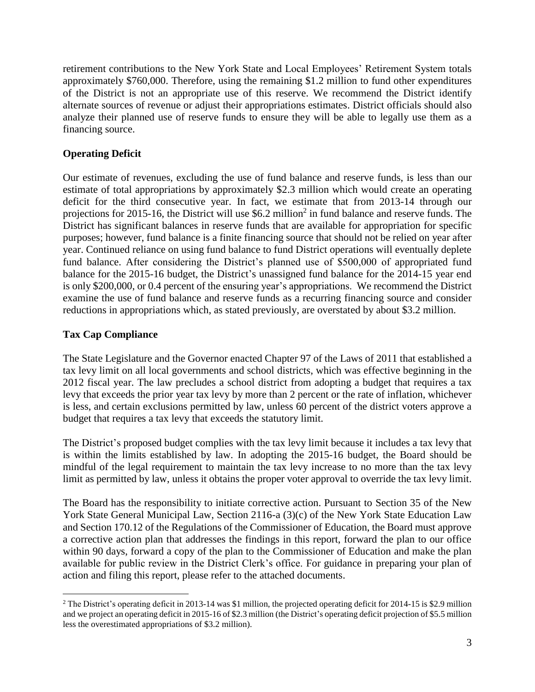retirement contributions to the New York State and Local Employees' Retirement System totals approximately \$760,000. Therefore, using the remaining \$1.2 million to fund other expenditures of the District is not an appropriate use of this reserve. We recommend the District identify alternate sources of revenue or adjust their appropriations estimates. District officials should also analyze their planned use of reserve funds to ensure they will be able to legally use them as a financing source.

## **Operating Deficit**

Our estimate of revenues, excluding the use of fund balance and reserve funds, is less than our estimate of total appropriations by approximately \$2.3 million which would create an operating deficit for the third consecutive year. In fact, we estimate that from 2013-14 through our projections for 2015-16, the District will use \$6.2 million<sup>2</sup> in fund balance and reserve funds. The District has significant balances in reserve funds that are available for appropriation for specific purposes; however, fund balance is a finite financing source that should not be relied on year after year. Continued reliance on using fund balance to fund District operations will eventually deplete fund balance. After considering the District's planned use of \$500,000 of appropriated fund balance for the 2015-16 budget, the District's unassigned fund balance for the 2014-15 year end is only \$200,000, or 0.4 percent of the ensuring year's appropriations. We recommend the District examine the use of fund balance and reserve funds as a recurring financing source and consider reductions in appropriations which, as stated previously, are overstated by about \$3.2 million.

## **Tax Cap Compliance**

The State Legislature and the Governor enacted Chapter 97 of the Laws of 2011 that established a tax levy limit on all local governments and school districts, which was effective beginning in the 2012 fiscal year. The law precludes a school district from adopting a budget that requires a tax levy that exceeds the prior year tax levy by more than 2 percent or the rate of inflation, whichever is less, and certain exclusions permitted by law, unless 60 percent of the district voters approve a budget that requires a tax levy that exceeds the statutory limit.

The District's proposed budget complies with the tax levy limit because it includes a tax levy that is within the limits established by law. In adopting the 2015-16 budget, the Board should be mindful of the legal requirement to maintain the tax levy increase to no more than the tax levy limit as permitted by law, unless it obtains the proper voter approval to override the tax levy limit.

The Board has the responsibility to initiate corrective action. Pursuant to Section 35 of the New York State General Municipal Law, Section 2116-a (3)(c) of the New York State Education Law and Section 170.12 of the Regulations of the Commissioner of Education, the Board must approve a corrective action plan that addresses the findings in this report, forward the plan to our office within 90 days, forward a copy of the plan to the Commissioner of Education and make the plan available for public review in the District Clerk's office. For guidance in preparing your plan of action and filing this report, please refer to the attached documents.

 $\overline{a}$ <sup>2</sup> The District's operating deficit in 2013-14 was \$1 million, the projected operating deficit for 2014-15 is \$2.9 million and we project an operating deficit in 2015-16 of \$2.3 million (the District's operating deficit projection of \$5.5 million less the overestimated appropriations of \$3.2 million).